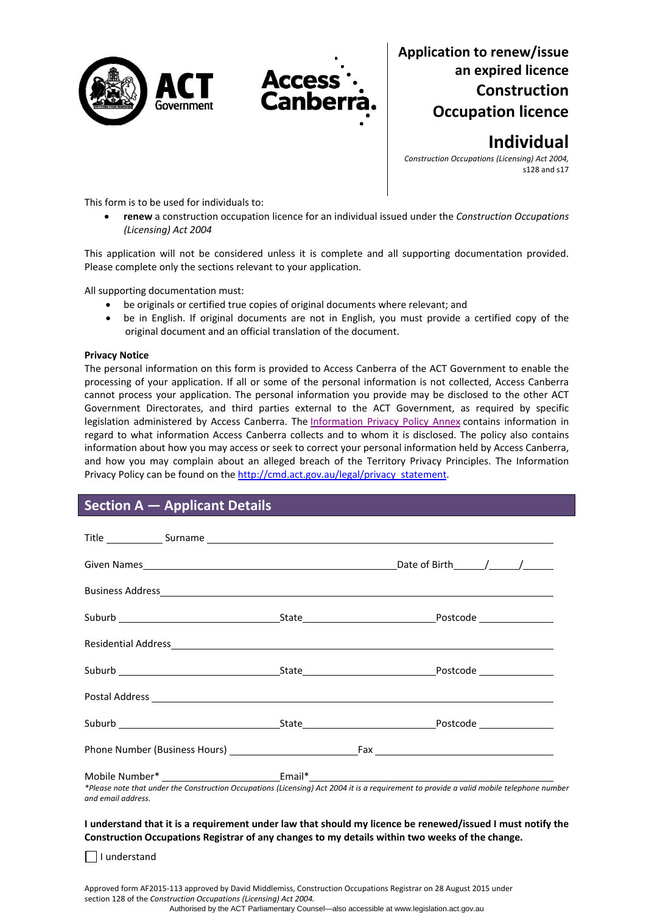



# **Application to renew/issue an expired licence Construction Occupation licence**

**Individual**

*Construction Occupations (Licensing) Act 2004,* s128 and s17

This form is to be used for individuals to:

 **renew** a construction occupation licence for an individual issued under the *Construction Occupations (Licensing) Act 2004*

This application will not be considered unless it is complete and all supporting documentation provided. Please complete only the sections relevant to your application.

All supporting documentation must:

- be originals or certified true copies of original documents where relevant; and
- be in English. If original documents are not in English, you must provide a certified copy of the original document and an official translation of the document.

### **Privacy Notice**

The personal information on this form is provided to Access Canberra of the ACT Government to enable the processing of your application. If all or some of the personal information is not collected, Access Canberra cannot process your application. The personal information you provide may be disclosed to the other ACT Government Directorates, and third parties external to the ACT Government, as required by specific legislation administered by Access Canberra. The [Information](http://www.environment.act.gov.au/__data/assets/pdf_file/0006/633741/Information-Privacy-Policy-Annex.pdf) Privacy Policy Annex contains information in regard to what information Access Canberra collects and to whom it is disclosed. The policy also contains information about how you may access or seek to correct your personal information held by Access Canberra, and how you may complain about an alleged breach of the Territory Privacy Principles. The Information Privacy Policy can be found on the [http://cmd.act.gov.au/legal/privacy\\_statement.](http://cmd.act.gov.au/legal/privacy_statement)

# **Section A — Applicant Details**

| Residential Address <b>Contract Contract Contract Contract Contract Contract Contract Contract Contract Contract Contract Contract Contract Contract Contract Contract Contract Contract Contract Contract Contract Contract Con</b> |
|--------------------------------------------------------------------------------------------------------------------------------------------------------------------------------------------------------------------------------------|
|                                                                                                                                                                                                                                      |
|                                                                                                                                                                                                                                      |
|                                                                                                                                                                                                                                      |
|                                                                                                                                                                                                                                      |
| Mobile Number* ______________________________Email*_____________________________                                                                                                                                                     |
|                                                                                                                                                                                                                                      |

I understand that it is a requirement under law that should my licence be renewed/issued I must notify the **Construction Occupations Registrar of any changes to my details within two weeks of the change.** 

I understand

Approved form AF2015‐113 approved by David Middlemiss, Construction Occupations Registrar on 28 August 2015 under section 128 of the *Construction Occupations (Licensing) Act 2004.* Authorised by the ACT Parliamentary Counsel—also accessible at www.legislation.act.gov.au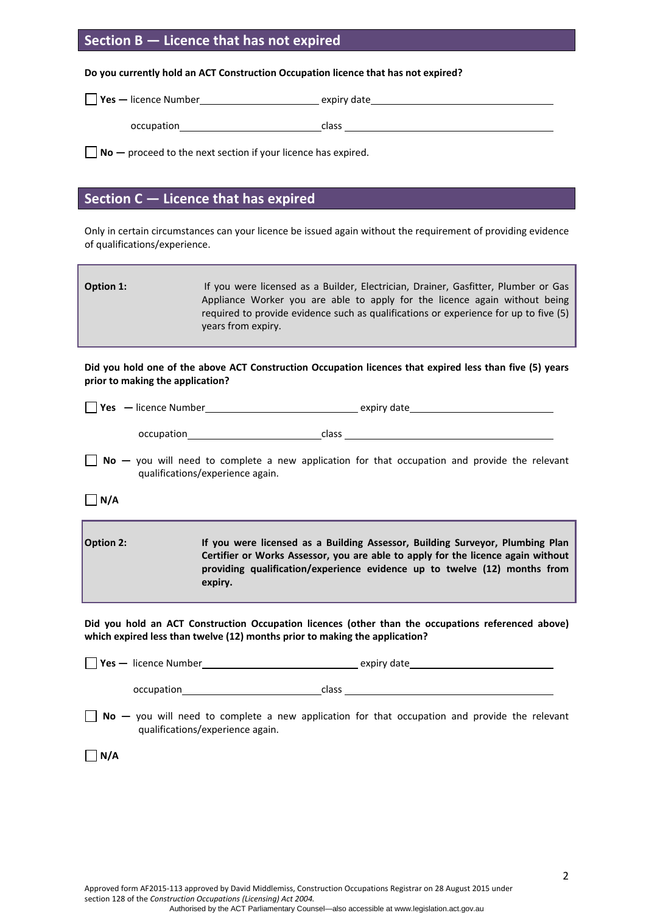## **Section B — Licence that has not expired**

**Do you currently hold an ACT Construction Occupation licence that has not expired?**

| $\vert$ Yes — licence Number | expiry date |
|------------------------------|-------------|
| occupation                   | class       |

**No —** proceed to the next section if your licence has expired.

## **Section C — Licence that has expired**

Only in certain circumstances can your licence be issued again without the requirement of providing evidence of qualifications/experience.

| Option 1: | If you were licensed as a Builder, Electrician, Drainer, Gasfitter, Plumber or Gas<br>Appliance Worker you are able to apply for the licence again without being |
|-----------|------------------------------------------------------------------------------------------------------------------------------------------------------------------|
|           | required to provide evidence such as qualifications or experience for up to five (5)<br>years from expiry.                                                       |

### Did you hold one of the above ACT Construction Occupation licences that expired less than five (5) years **prior to making the application?**

| Yes   - licence Number | expiry date |
|------------------------|-------------|
|                        |             |

| occupation | class |
|------------|-------|
|            |       |

**No** – you will need to complete a new application for that occupation and provide the relevant qualifications/experience again.

**N/A**

| <b>Option 2:</b> | If you were licensed as a Building Assessor, Building Surveyor, Plumbing Plan    |
|------------------|----------------------------------------------------------------------------------|
|                  | Certifier or Works Assessor, you are able to apply for the licence again without |
|                  | providing qualification/experience evidence up to twelve (12) months from        |
|                  | expiry.                                                                          |

**Did you hold an ACT Construction Occupation licences (other than the occupations referenced above) which expired less than twelve (12) months prior to making the application?**

| $\Box$ Yes - licence Number | expiry date |  |
|-----------------------------|-------------|--|
| occupation                  | class       |  |

**No** – you will need to complete a new application for that occupation and provide the relevant qualifications/experience again.

 $\Box$ **N/A**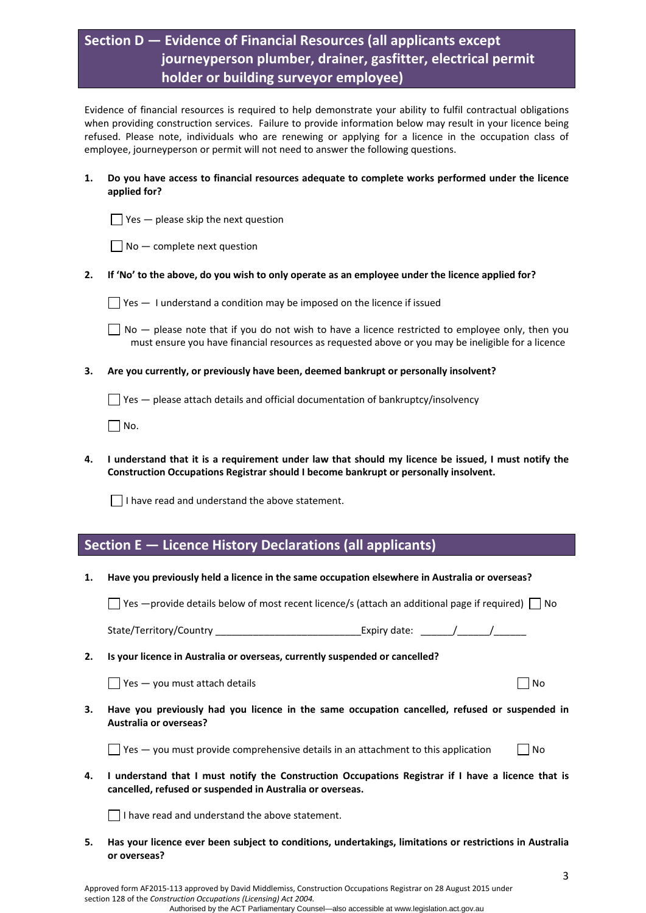# **Section D — Evidence of Financial Resources (all applicants except journeyperson plumber, drainer, gasfitter, electrical permit holder or building surveyor employee)**

Evidence of financial resources is required to help demonstrate your ability to fulfil contractual obligations when providing construction services. Failure to provide information below may result in your licence being refused. Please note, individuals who are renewing or applying for a licence in the occupation class of employee, journeyperson or permit will not need to answer the following questions.

### **1. Do you have access to financial resources adequate to complete works performed under the licence applied for?**

 $\Box$  Yes  $-$  please skip the next question

2. If 'No' to the above, do you wish to only operate as an employee under the licence applied for?

 $\Box$  Yes  $-$  1 understand a condition may be imposed on the licence if issued

 $\Box$  No  $-$  please note that if you do not wish to have a licence restricted to employee only, then you must ensure you have financial resources as requested above or you may be ineligible for a licence

**3. Are you currently, or previously have been, deemed bankrupt or personally insolvent?** 

 $\Box$  Yes  $-$  please attach details and official documentation of bankruptcy/insolvency

 $\Box$  No.

4. I understand that it is a requirement under law that should my licence be issued, I must notify the **Construction Occupations Registrar should I become bankrupt or personally insolvent.** 

 $\Box$  I have read and understand the above statement.

# **Section E — Licence History Declarations (all applicants)**

**1. Have you previously held a licence in the same occupation elsewhere in Australia or overseas?** 

 $\Box$  Yes —provide details below of most recent licence/s (attach an additional page if required)  $\Box$  No

State/Territory/Country \_\_\_\_\_\_\_\_\_\_\_\_\_\_\_\_\_\_\_\_\_\_\_\_\_\_\_Expiry date: \_\_\_\_\_\_/\_\_\_\_\_\_/\_\_\_\_\_\_

**2. Is your licence in Australia or overseas, currently suspended or cancelled?** 

 $\Box$  Yes — you must attach details  $\Box$ 

**3. Have you previously had you licence in the same occupation cancelled, refused or suspended in Australia or overseas?** 

 $\Box$  Yes — you must provide comprehensive details in an attachment to this application  $\Box$  No

4. I understand that I must notify the Construction Occupations Registrar if I have a licence that is **cancelled, refused or suspended in Australia or overseas.** 

 $\vert \ \vert$  I have read and understand the above statement.

**5. Has your licence ever been subject to conditions, undertakings, limitations or restrictions in Australia or overseas?**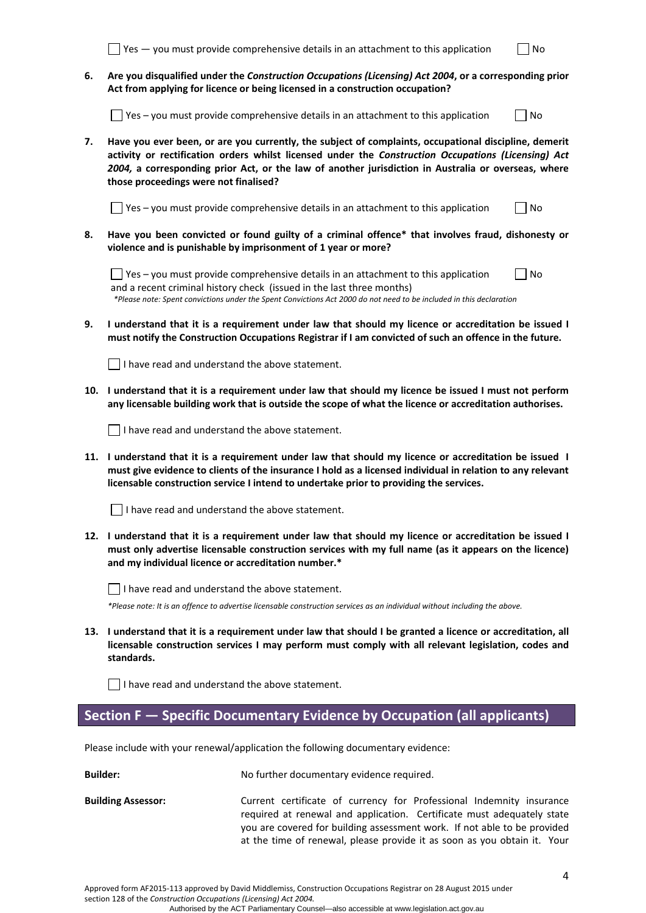|                 | $Yes - you must provide comprehensive details in an attachment to this application$<br>No                                                                                                                                                                                                                                                                    |  |  |
|-----------------|--------------------------------------------------------------------------------------------------------------------------------------------------------------------------------------------------------------------------------------------------------------------------------------------------------------------------------------------------------------|--|--|
| 6.              | Are you disqualified under the Construction Occupations (Licensing) Act 2004, or a corresponding prior<br>Act from applying for licence or being licensed in a construction occupation?                                                                                                                                                                      |  |  |
|                 | Yes - you must provide comprehensive details in an attachment to this application<br>No                                                                                                                                                                                                                                                                      |  |  |
| 7.              | Have you ever been, or are you currently, the subject of complaints, occupational discipline, demerit<br>activity or rectification orders whilst licensed under the Construction Occupations (Licensing) Act<br>2004, a corresponding prior Act, or the law of another jurisdiction in Australia or overseas, where<br>those proceedings were not finalised? |  |  |
|                 | Yes - you must provide comprehensive details in an attachment to this application<br>No                                                                                                                                                                                                                                                                      |  |  |
| 8.              | Have you been convicted or found guilty of a criminal offence* that involves fraud, dishonesty or<br>violence and is punishable by imprisonment of 1 year or more?                                                                                                                                                                                           |  |  |
|                 | No<br>$\Box$ Yes – you must provide comprehensive details in an attachment to this application<br>and a recent criminal history check (issued in the last three months)<br>*Please note: Spent convictions under the Spent Convictions Act 2000 do not need to be included in this declaration                                                               |  |  |
| 9.              | I understand that it is a requirement under law that should my licence or accreditation be issued I<br>must notify the Construction Occupations Registrar if I am convicted of such an offence in the future.                                                                                                                                                |  |  |
|                 | I have read and understand the above statement.                                                                                                                                                                                                                                                                                                              |  |  |
| 10.             | I understand that it is a requirement under law that should my licence be issued I must not perform<br>any licensable building work that is outside the scope of what the licence or accreditation authorises.                                                                                                                                               |  |  |
|                 | $\Box$ I have read and understand the above statement.                                                                                                                                                                                                                                                                                                       |  |  |
| 11.             | I understand that it is a requirement under law that should my licence or accreditation be issued I<br>must give evidence to clients of the insurance I hold as a licensed individual in relation to any relevant<br>licensable construction service I intend to undertake prior to providing the services.                                                  |  |  |
|                 | I have read and understand the above statement.                                                                                                                                                                                                                                                                                                              |  |  |
| 12.             | I understand that it is a requirement under law that should my licence or accreditation be issued I<br>must only advertise licensable construction services with my full name (as it appears on the licence)<br>and my individual licence or accreditation number.*                                                                                          |  |  |
|                 | I have read and understand the above statement.                                                                                                                                                                                                                                                                                                              |  |  |
|                 | *Please note: It is an offence to advertise licensable construction services as an individual without including the above.                                                                                                                                                                                                                                   |  |  |
| 13.             | I understand that it is a requirement under law that should I be granted a licence or accreditation, all<br>licensable construction services I may perform must comply with all relevant legislation, codes and<br>standards.                                                                                                                                |  |  |
|                 | I have read and understand the above statement.                                                                                                                                                                                                                                                                                                              |  |  |
|                 | Section F - Specific Documentary Evidence by Occupation (all applicants)                                                                                                                                                                                                                                                                                     |  |  |
|                 | Please include with your renewal/application the following documentary evidence:                                                                                                                                                                                                                                                                             |  |  |
|                 |                                                                                                                                                                                                                                                                                                                                                              |  |  |
| <b>Builder:</b> | No further documentary evidence required.                                                                                                                                                                                                                                                                                                                    |  |  |

**Building Assessor:** Current certificate of currency for Professional Indemnity insurance required at renewal and application. Certificate must adequately state you are covered for building assessment work. If not able to be provided at the time of renewal, please provide it as soon as you obtain it. Your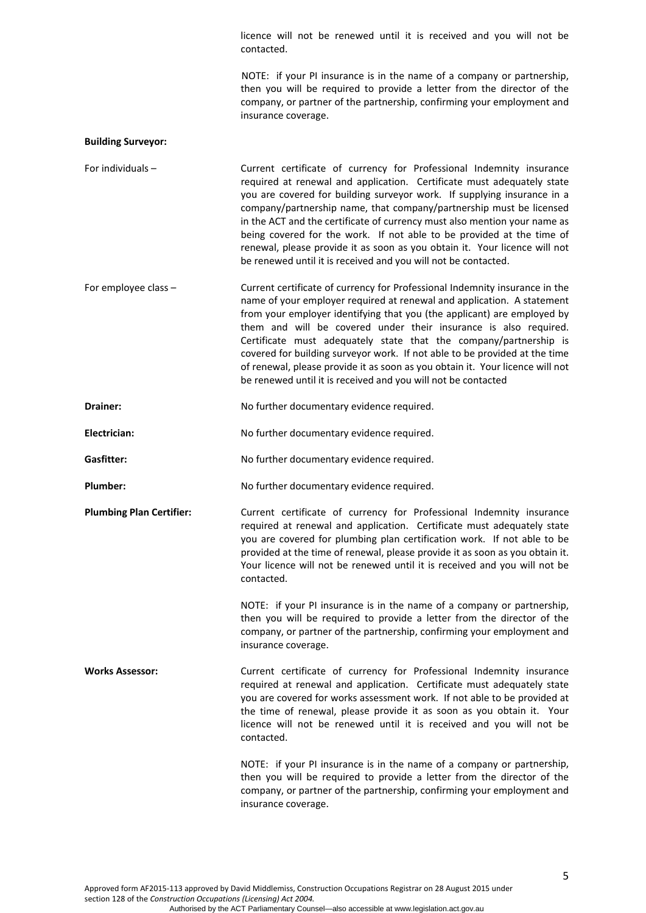licence will not be renewed until it is received and you will not be contacted.

 NOTE: if your PI insurance is in the name of a company or partnership, then you will be required to provide a letter from the director of the company, or partner of the partnership, confirming your employment and insurance coverage.

#### **Building Surveyor:**

For individuals – **Current certificate of currency for Professional Indemnity insurance** required at renewal and application. Certificate must adequately state you are covered for building surveyor work. If supplying insurance in a company/partnership name, that company/partnership must be licensed in the ACT and the certificate of currency must also mention your name as being covered for the work. If not able to be provided at the time of renewal, please provide it as soon as you obtain it. Your licence will not be renewed until it is received and you will not be contacted.

For employee class – Current certificate of currency for Professional Indemnity insurance in the name of your employer required at renewal and application. A statement from your employer identifying that you (the applicant) are employed by them and will be covered under their insurance is also required. Certificate must adequately state that the company/partnership is covered for building surveyor work. If not able to be provided at the time of renewal, please provide it as soon as you obtain it. Your licence will not be renewed until it is received and you will not be contacted

**Drainer:** No further documentary evidence required.

Electrician: **Electrician:** No further documentary evidence required.

Gasfitter: **No further documentary evidence required.** No further documentary evidence required.

Plumber: No further documentary evidence required.

**Plumbing Plan Certifier:** Current certificate of currency for Professional Indemnity insurance required at renewal and application. Certificate must adequately state you are covered for plumbing plan certification work. If not able to be provided at the time of renewal, please provide it as soon as you obtain it. Your licence will not be renewed until it is received and you will not be contacted.

> NOTE: if your PI insurance is in the name of a company or partnership, then you will be required to provide a letter from the director of the company, or partner of the partnership, confirming your employment and insurance coverage.

**Works Assessor:** Current certificate of currency for Professional Indemnity insurance required at renewal and application. Certificate must adequately state you are covered for works assessment work. If not able to be provided at the time of renewal, please provide it as soon as you obtain it. Your licence will not be renewed until it is received and you will not be contacted.

> NOTE: if your PI insurance is in the name of a company or partnership, then you will be required to provide a letter from the director of the company, or partner of the partnership, confirming your employment and insurance coverage.

Approved form AF2015‐113 approved by David Middlemiss, Construction Occupations Registrar on 28 August 2015 under section 128 of the *Construction Occupations (Licensing) Act 2004.* Authorised by the ACT Parliamentary Counsel—also accessible at www.legislation.act.gov.au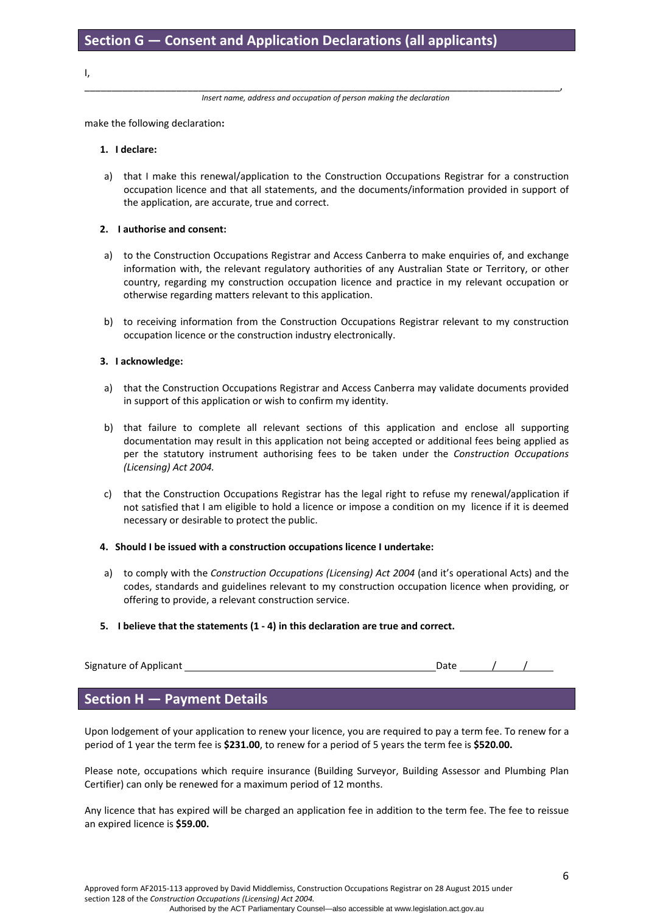I,

\_\_\_\_\_\_\_\_\_\_\_\_\_\_\_\_\_\_\_\_\_\_\_\_\_\_\_\_\_\_\_\_\_\_\_\_\_\_\_\_\_\_\_\_\_\_\_\_\_\_\_\_\_\_\_\_\_\_\_\_\_\_\_\_\_\_\_\_\_\_\_\_\_\_\_\_\_\_\_\_\_\_\_\_\_\_\_\_, *Insert name, address and occupation of person making the declaration*

make the following declaration**:**

#### **1. I declare:**

a) that I make this renewal/application to the Construction Occupations Registrar for a construction occupation licence and that all statements, and the documents/information provided in support of the application, are accurate, true and correct.

#### **2. I authorise and consent:**

- a) to the Construction Occupations Registrar and Access Canberra to make enquiries of, and exchange information with, the relevant regulatory authorities of any Australian State or Territory, or other country, regarding my construction occupation licence and practice in my relevant occupation or otherwise regarding matters relevant to this application.
- b) to receiving information from the Construction Occupations Registrar relevant to my construction occupation licence or the construction industry electronically.

#### **3. I acknowledge:**

- a) that the Construction Occupations Registrar and Access Canberra may validate documents provided in support of this application or wish to confirm my identity.
- b) that failure to complete all relevant sections of this application and enclose all supporting documentation may result in this application not being accepted or additional fees being applied as per the statutory instrument authorising fees to be taken under the *Construction Occupations (Licensing) Act 2004.*
- c) that the Construction Occupations Registrar has the legal right to refuse my renewal/application if not satisfied that I am eligible to hold a licence or impose a condition on my licence if it is deemed necessary or desirable to protect the public.

#### **4. Should I be issued with a construction occupations licence I undertake:**

a) to comply with the *Construction Occupations (Licensing) Act 2004* (and it's operational Acts) and the codes, standards and guidelines relevant to my construction occupation licence when providing, or offering to provide, a relevant construction service.

#### **5. I believe that the statements (1 ‐ 4) in this declaration are true and correct.**

| Signature of Applicant |  |  |  |
|------------------------|--|--|--|
|                        |  |  |  |

## **Section H — Payment Details**

Upon lodgement of your application to renew your licence, you are required to pay a term fee. To renew for a period of 1 year the term fee is **\$231.00**, to renew for a period of 5 years the term fee is **\$520.00.**

Please note, occupations which require insurance (Building Surveyor, Building Assessor and Plumbing Plan Certifier) can only be renewed for a maximum period of 12 months.

Any licence that has expired will be charged an application fee in addition to the term fee. The fee to reissue an expired licence is **\$59.00.**